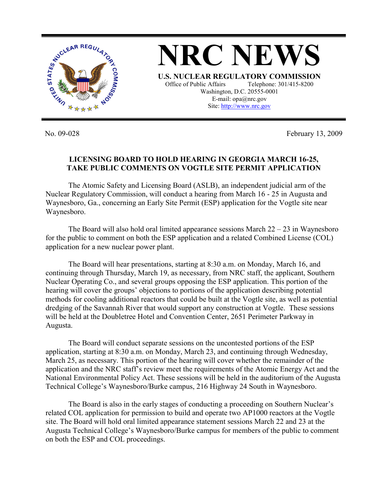

No. 09-028 February 13, 2009

## **LICENSING BOARD TO HOLD HEARING IN GEORGIA MARCH 16-25, TAKE PUBLIC COMMENTS ON VOGTLE SITE PERMIT APPLICATION**

 The Atomic Safety and Licensing Board (ASLB), an independent judicial arm of the Nuclear Regulatory Commission, will conduct a hearing from March 16 - 25 in Augusta and Waynesboro, Ga., concerning an Early Site Permit (ESP) application for the Vogtle site near Waynesboro.

The Board will also hold oral limited appearance sessions March  $22 - 23$  in Waynesboro for the public to comment on both the ESP application and a related Combined License (COL) application for a new nuclear power plant.

 The Board will hear presentations, starting at 8:30 a.m. on Monday, March 16, and continuing through Thursday, March 19, as necessary, from NRC staff, the applicant, Southern Nuclear Operating Co., and several groups opposing the ESP application. This portion of the hearing will cover the groups' objections to portions of the application describing potential methods for cooling additional reactors that could be built at the Vogtle site, as well as potential dredging of the Savannah River that would support any construction at Vogtle. These sessions will be held at the Doubletree Hotel and Convention Center, 2651 Perimeter Parkway in Augusta.

 The Board will conduct separate sessions on the uncontested portions of the ESP application, starting at 8:30 a.m. on Monday, March 23, and continuing through Wednesday, March 25, as necessary. This portion of the hearing will cover whether the remainder of the application and the NRC staff's review meet the requirements of the Atomic Energy Act and the National Environmental Policy Act. These sessions will be held in the auditorium of the Augusta Technical College's Waynesboro/Burke campus, 216 Highway 24 South in Waynesboro.

 The Board is also in the early stages of conducting a proceeding on Southern Nuclear's related COL application for permission to build and operate two AP1000 reactors at the Vogtle site. The Board will hold oral limited appearance statement sessions March 22 and 23 at the Augusta Technical College's Waynesboro/Burke campus for members of the public to comment on both the ESP and COL proceedings.